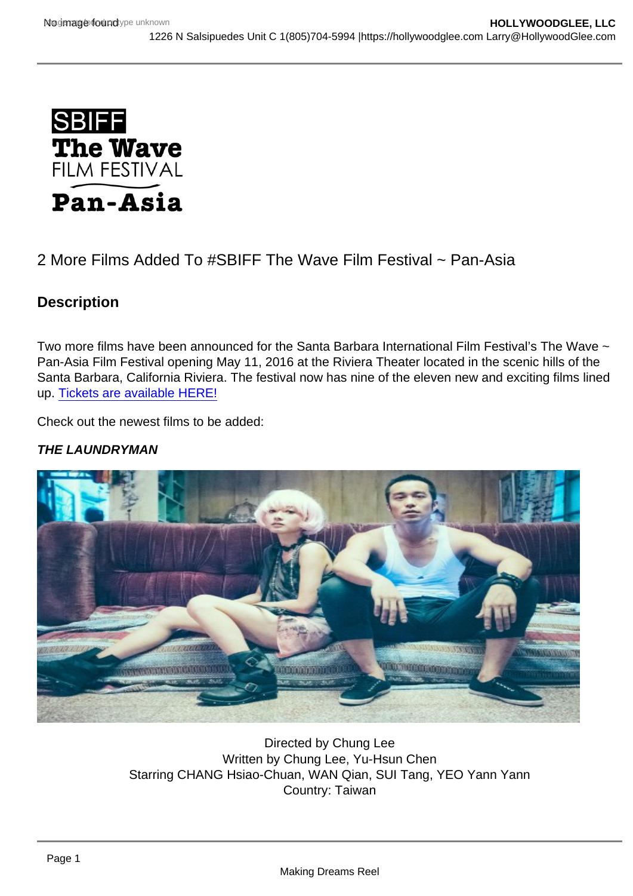# 2 More Films Added To #SBIFF The Wave Film Festival ~ Pan-Asia

**Description** 

Two more films have been announced for the Santa Barbara International Film Festival's The Wave ~ Pan-Asia Film Festival opening May 11, 2016 at the Riviera Theater located in the scenic hills of the Santa Barbara, California Riviera. The festival now has nine of the eleven new and exciting films lined up. [Tickets are available HERE!](http://sbiff.org/product-category/the_wave/)

Check out the newest films to be added:

THE LAUNDRYMAN

Directed by Chung Lee Written by Chung Lee, Yu-Hsun Chen Starring CHANG Hsiao-Chuan, WAN Qian, SUI Tang, YEO Yann Yann Country: Taiwan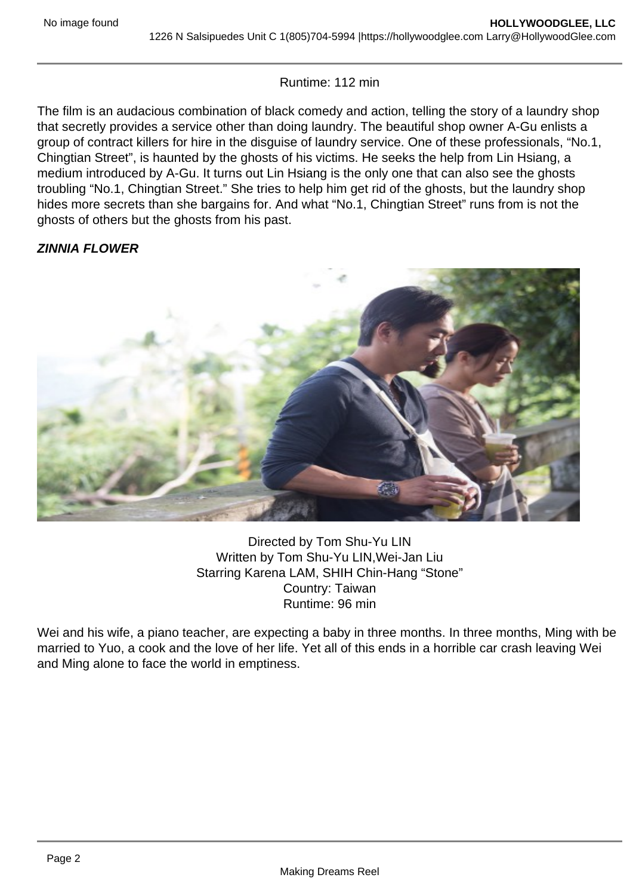#### Runtime: 112 min

The film is an audacious combination of black comedy and action, telling the story of a laundry shop that secretly provides a service other than doing laundry. The beautiful shop owner A-Gu enlists a group of contract killers for hire in the disguise of laundry service. One of these professionals, "No.1, Chingtian Street", is haunted by the ghosts of his victims. He seeks the help from Lin Hsiang, a medium introduced by A-Gu. It turns out Lin Hsiang is the only one that can also see the ghosts troubling "No.1, Chingtian Street." She tries to help him get rid of the ghosts, but the laundry shop hides more secrets than she bargains for. And what "No.1, Chingtian Street" runs from is not the ghosts of others but the ghosts from his past.

## **ZINNIA FLOWER**



Directed by Tom Shu-Yu LIN Written by Tom Shu-Yu LIN,Wei-Jan Liu Starring Karena LAM, SHIH Chin-Hang "Stone" Country: Taiwan Runtime: 96 min

Wei and his wife, a piano teacher, are expecting a baby in three months. In three months, Ming with be married to Yuo, a cook and the love of her life. Yet all of this ends in a horrible car crash leaving Wei and Ming alone to face the world in emptiness.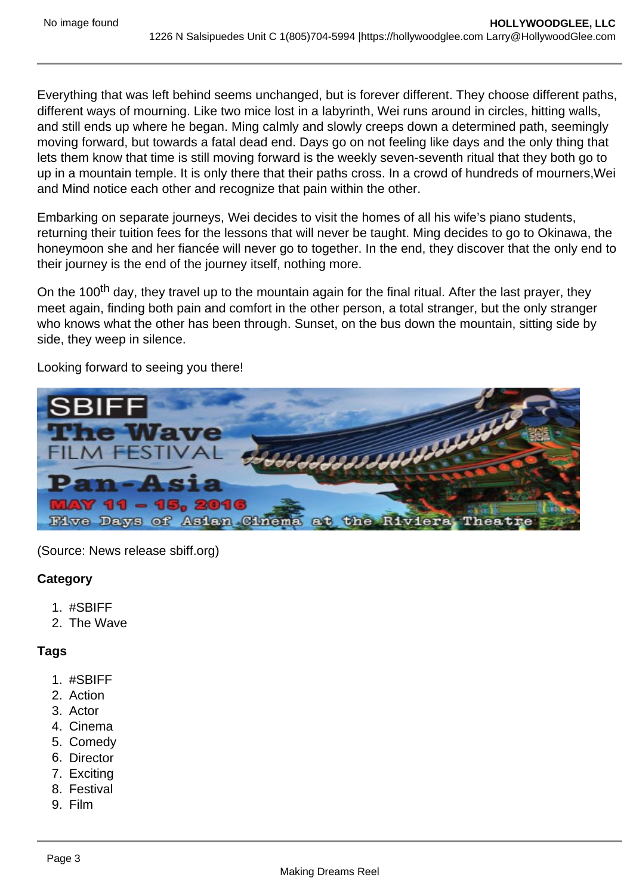Everything that was left behind seems unchanged, but is forever different. They choose different paths, different ways of mourning. Like two mice lost in a labyrinth, Wei runs around in circles, hitting walls, and still ends up where he began. Ming calmly and slowly creeps down a determined path, seemingly moving forward, but towards a fatal dead end. Days go on not feeling like days and the only thing that lets them know that time is still moving forward is the weekly seven-seventh ritual that they both go to up in a mountain temple. It is only there that their paths cross. In a crowd of hundreds of mourners,Wei and Mind notice each other and recognize that pain within the other.

Embarking on separate journeys, Wei decides to visit the homes of all his wife's piano students, returning their tuition fees for the lessons that will never be taught. Ming decides to go to Okinawa, the honeymoon she and her fiancée will never go to together. In the end, they discover that the only end to their journey is the end of the journey itself, nothing more.

On the 100<sup>th</sup> day, they travel up to the mountain again for the final ritual. After the last prayer, they meet again, finding both pain and comfort in the other person, a total stranger, but the only stranger who knows what the other has been through. Sunset, on the bus down the mountain, sitting side by side, they weep in silence.

Looking forward to seeing you there!



(Source: News release sbiff.org)

### **Category**

- 1. #SBIFF
- 2. The Wave

### **Tags**

- 1. #SBIFF
- 2. Action
- 3. Actor
- 4. Cinema
- 5. Comedy
- 6. Director
- 7. Exciting
- 8. Festival
- 9. Film